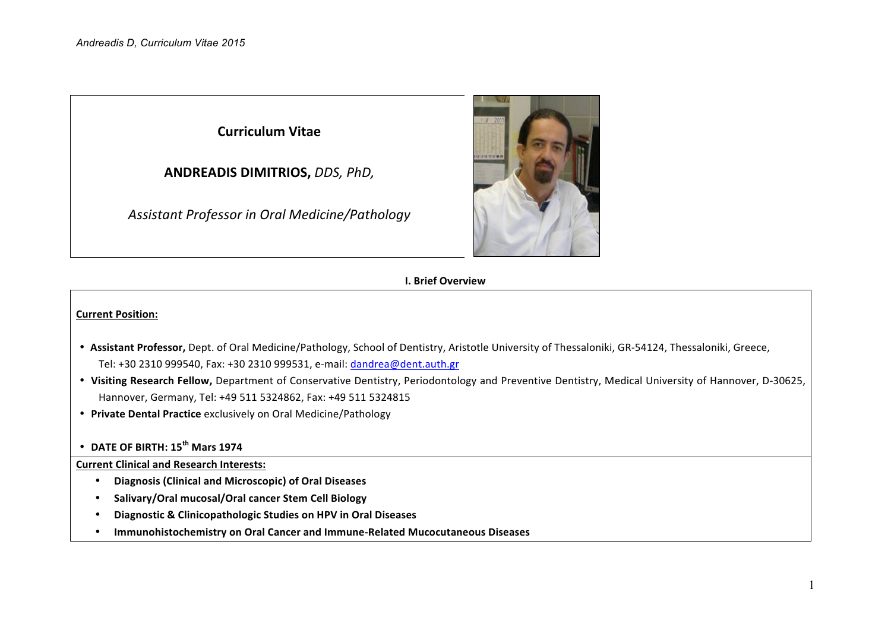**Curriculum Vitae**

**ANDREADIS DIMITRIOS,** *DDS, PhD,*

*Assistant Professor in Oral Medicine/Pathology*



## **I. Brief Overview**

### **Current Position:**

- Assistant Professor, Dept. of Oral Medicine/Pathology, School of Dentistry, Aristotle University of Thessaloniki, GR-54124, Thessaloniki, Greece, Tel: +30 2310 999540, Fax: +30 2310 999531, e-mail: dandrea@dent.auth.gr
- Visiting Research Fellow, Department of Conservative Dentistry, Periodontology and Preventive Dentistry, Medical University of Hannover, D-30625, Hannover, Germany, Tel: +49 511 5324862, Fax: +49 511 5324815
- Private Dental Practice exclusively on Oral Medicine/Pathology

# • **DATE OF BIRTH: 15th Mars 1974**

## **Current Clinical and Research Interests:**

- **Diagnosis (Clinical and Microscopic) of Oral Diseases**
- Salivary/Oral mucosal/Oral cancer Stem Cell Biology
- **Diagnostic & Clinicopathologic Studies on HPV in Oral Diseases**
- **Immunohistochemistry on Oral Cancer and Immune-Related Mucocutaneous Diseases**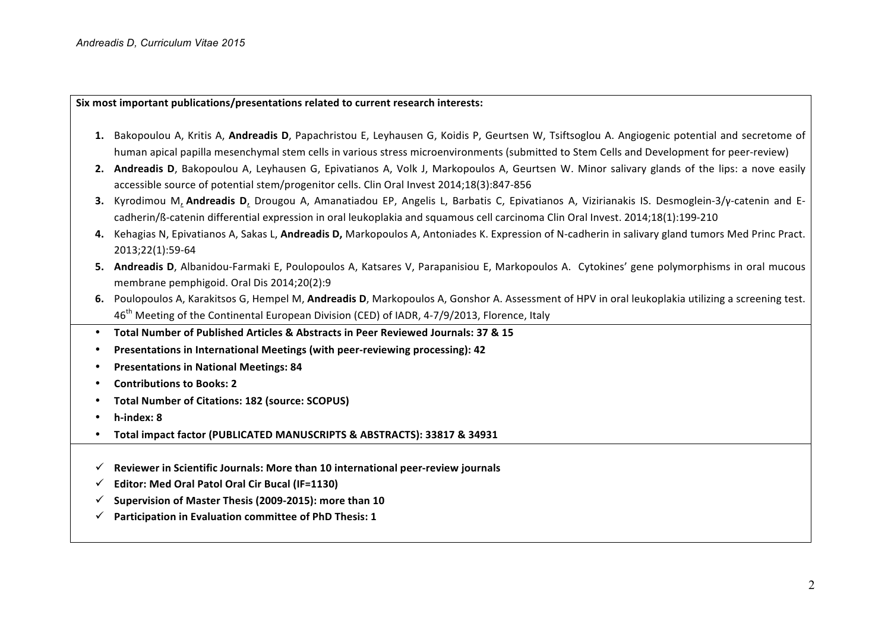**Six** most important publications/presentations related to current research interests:

- 1. Bakopoulou A, Kritis A, Andreadis D, Papachristou E, Leyhausen G, Koidis P, Geurtsen W, Tsiftsoglou A. Angiogenic potential and secretome of human apical papilla mesenchymal stem cells in various stress microenvironments (submitted to Stem Cells and Development for peer-review)
- **2.** Andreadis D, Bakopoulou A, Leyhausen G, Epivatianos A, Volk J, Markopoulos A, Geurtsen W. Minor salivary glands of the lips: a nove easily accessible source of potential stem/progenitor cells. Clin Oral Invest 2014;18(3):847-856
- **3.** Kyrodimou M, Andreadis D, Drougou A, Amanatiadou EP, Angelis L, Barbatis C, Epivatianos A, Vizirianakis IS. Desmoglein-3/y-catenin and Ecadherin/ß-catenin differential expression in oral leukoplakia and squamous cell carcinoma Clin Oral Invest. 2014;18(1):199-210
- **4.** Kehagias N, Epivatianos A, Sakas L, **Andreadis D,** Markopoulos A, Antoniades K. Expression of N-cadherin in salivary gland tumors Med Princ Pract. 2013;22(1):59-64
- **5.** Andreadis D, Albanidou-Farmaki E, Poulopoulos A, Katsares V, Parapanisiou E, Markopoulos A. Cytokines' gene polymorphisms in oral mucous membrane pemphigoid. Oral Dis 2014;20(2):9
- **6.** Poulopoulos A, Karakitsos G, Hempel M, Andreadis D, Markopoulos A, Gonshor A. Assessment of HPV in oral leukoplakia utilizing a screening test. 46<sup>th</sup> Meeting of the Continental European Division (CED) of IADR, 4-7/9/2013, Florence, Italy
- **Total Number of Published Articles & Abstracts in Peer Reviewed Journals: 37 & 15**
- **Presentations in International Meetings (with peer-reviewing processing): 42**
- **•** Presentations in National Meetings: 84
- **Contributions to Books: 2**
- **Total Number of Citations: 182 (source: SCOPUS)**
- **h-index: 8**
- Total impact factor (PUBLICATED MANUSCRIPTS & ABSTRACTS): 33817 & 34931
- Reviewer in Scientific Journals: More than 10 international peer-review journals
- ü **Editor: Med Oral Patol Oral Cir Bucal (IF=1130)**
- Supervision of Master Thesis (2009-2015): more than 10
- Participation in Evaluation committee of PhD Thesis: 1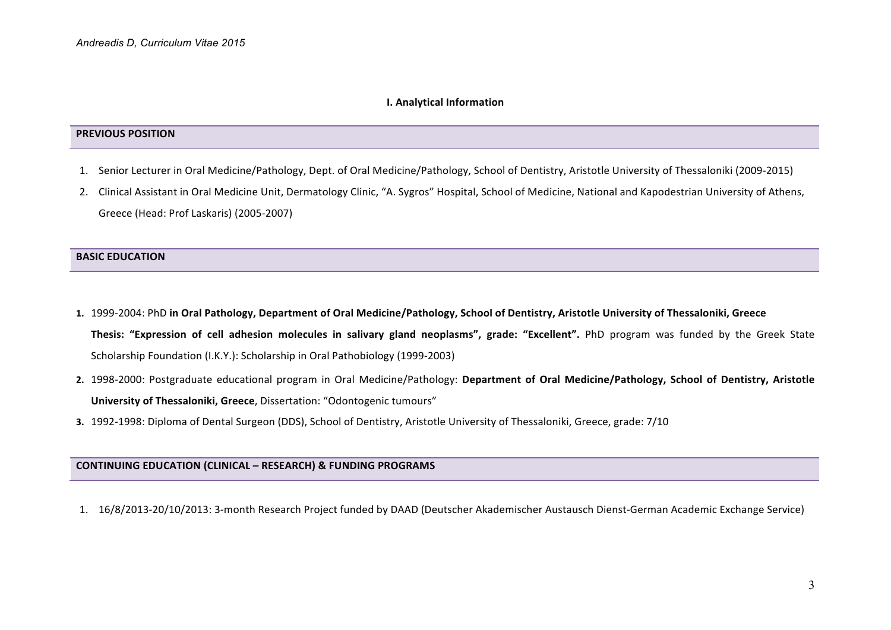#### **I. Analytical Information**

#### **PREVIOUS POSITION**

- 1. Senior Lecturer in Oral Medicine/Pathology, Dept. of Oral Medicine/Pathology, School of Dentistry, Aristotle University of Thessaloniki (2009-2015)
- 2. Clinical Assistant in Oral Medicine Unit, Dermatology Clinic, "A. Sygros" Hospital, School of Medicine, National and Kapodestrian University of Athens, Greece (Head: Prof Laskaris) (2005-2007)

### **BASIC EDUCATION**

- **1.**  1999-2004: PhD **in Oral Pathology, Department of Oral Medicine/Pathology, School of Dentistry, Aristotle University of Thessaloniki, Greece** Thesis: "Expression of cell adhesion molecules in salivary gland neoplasms", grade: "Excellent". PhD program was funded by the Greek State Scholarship Foundation (Ι.Κ.Υ.): Scholarship in Oral Pathobiology (1999-2003)
- 2. 1998-2000: Postgraduate educational program in Oral Medicine/Pathology: Department of Oral Medicine/Pathology, School of Dentistry, Aristotle **University of Thessaloniki, Greece**, Dissertation: "Odontogenic tumours"
- **3.** 1992-1998: Diploma of Dental Surgeon (DDS), School of Dentistry, Aristotle University of Thessaloniki, Greece, grade: 7/10

### **CONTINUING EDUCATION (CLINICAL – RESEARCH) & FUNDING PROGRAMS**

1. 16/8/2013-20/10/2013: 3-month Research Project funded by DAAD (Deutscher Akademischer Austausch Dienst-German Academic Exchange Service)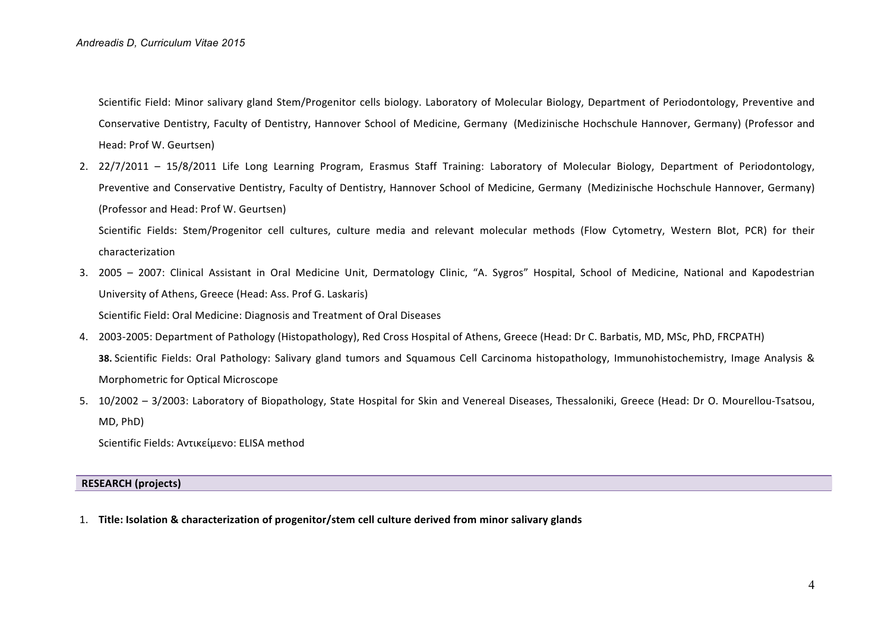Scientific Field: Minor salivary gland Stem/Progenitor cells biology. Laboratory of Molecular Biology, Department of Periodontology, Preventive and Conservative Dentistry, Faculty of Dentistry, Hannover School of Medicine, Germany (Medizinische Hochschule Hannover, Germany) (Professor and Head: Prof W. Geurtsen)

2. 22/7/2011 – 15/8/2011 Life Long Learning Program, Erasmus Staff Training: Laboratory of Molecular Biology, Department of Periodontology, Preventive and Conservative Dentistry, Faculty of Dentistry, Hannover School of Medicine, Germany (Medizinische Hochschule Hannover, Germany) (Professor and Head: Prof W. Geurtsen) 

Scientific Fields: Stem/Progenitor cell cultures, culture media and relevant molecular methods (Flow Cytometry, Western Blot, PCR) for their characterization

- 3. 2005 2007: Clinical Assistant in Oral Medicine Unit, Dermatology Clinic, "A. Sygros" Hospital, School of Medicine, National and Kapodestrian University of Athens, Greece (Head: Ass. Prof G. Laskaris) Scientific Field: Oral Medicine: Diagnosis and Treatment of Oral Diseases
- 4. 2003-2005: Department of Pathology (Histopathology), Red Cross Hospital of Athens, Greece (Head: Dr C. Barbatis, MD, MSc, PhD, FRCPATH) **38.** Scientific Fields: Oral Pathology: Salivary gland tumors and Squamous Cell Carcinoma histopathology, Immunohistochemistry, Image Analysis & Morphometric for Optical Microscope
- 5. 10/2002 3/2003: Laboratory of Biopathology, State Hospital for Skin and Venereal Diseases, Thessaloniki, Greece (Head: Dr O. Mourellou-Tsatsou, MD, PhD)

Scientific Fields: Αντικείμενο: ELISA method

## **RESEARCH (projects)**

1. Title: Isolation & characterization of progenitor/stem cell culture derived from minor salivary glands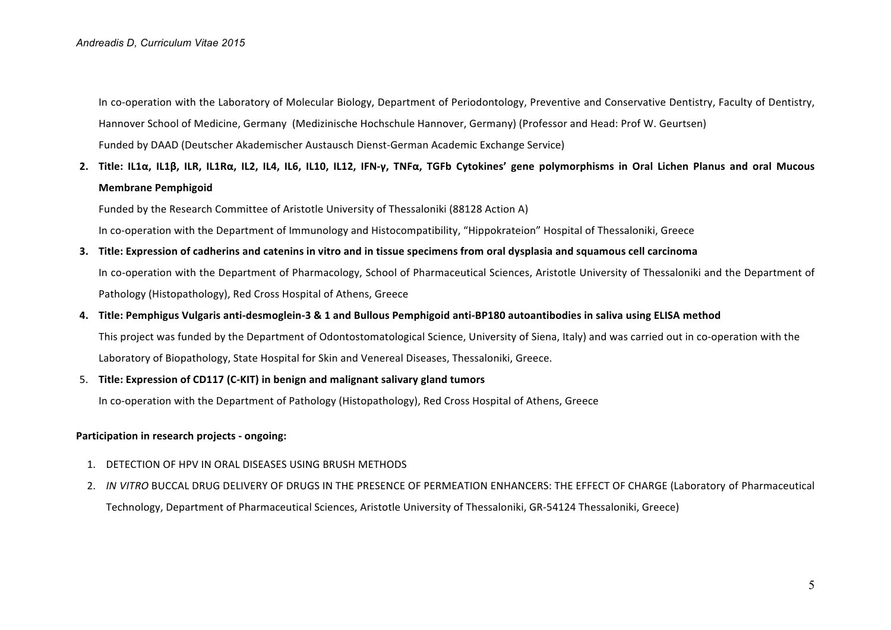In co-operation with the Laboratory of Molecular Biology, Department of Periodontology, Preventive and Conservative Dentistry, Faculty of Dentistry, Hannover School of Medicine, Germany (Medizinische Hochschule Hannover, Germany) (Professor and Head: Prof W. Geurtsen) Funded by DAAD (Deutscher Akademischer Austausch Dienst-German Academic Exchange Service)

**2.** Title: IL1α, IL1B, ILR, IL1Rα, IL2, IL4, IL6, IL10, IL12, IFN-γ, TNFα, TGFb Cytokines' gene polymorphisms in Oral Lichen Planus and oral Mucous **Membrane Pemphigoid**

Funded by the Research Committee of Aristotle University of Thessaloniki (88128 Action A)

In co-operation with the Department of Immunology and Histocompatibility, "Hippokrateion" Hospital of Thessaloniki, Greece

**3.** Title: Expression of cadherins and catenins in vitro and in tissue specimens from oral dysplasia and squamous cell carcinoma In co-operation with the Department of Pharmacology, School of Pharmaceutical Sciences, Aristotle University of Thessaloniki and the Department of Pathology (Histopathology), Red Cross Hospital of Athens, Greece

### **4. Title: Pemphigus Vulgaris anti-desmoglein-3 & 1 and Bullous Pemphigoid anti-BP180 autoantibodies in saliva using ELISA method**

This project was funded by the Department of Odontostomatological Science, University of Siena, Italy) and was carried out in co-operation with the Laboratory of Biopathology, State Hospital for Skin and Venereal Diseases, Thessaloniki, Greece.

#### 5. **Title: Expression of CD117 (C-KIT) in benign and malignant salivary gland tumors**

In co-operation with the Department of Pathology (Histopathology), Red Cross Hospital of Athens, Greece

#### **Participation in research projects - ongoing:**

- 1. DETECTION OF HPV IN ORAL DISEASES USING BRUSH METHODS
- 2. *IN VITRO* BUCCAL DRUG DELIVERY OF DRUGS IN THE PRESENCE OF PERMEATION ENHANCERS: THE EFFECT OF CHARGE (Laboratory of Pharmaceutical Technology, Department of Pharmaceutical Sciences, Aristotle University of Thessaloniki, GR-54124 Thessaloniki, Greece)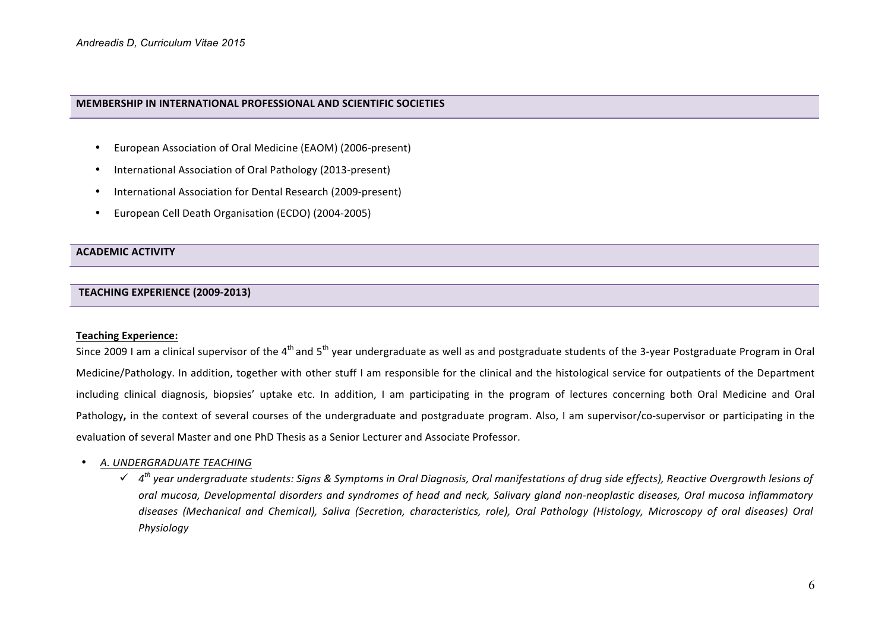#### **MEMBERSHIP IN INTERNATIONAL PROFESSIONAL AND SCIENTIFIC SOCIETIES**

- European Association of Oral Medicine (EAOM) (2006-present)
- International Association of Oral Pathology (2013-present)
- International Association for Dental Research (2009-present)
- European Cell Death Organisation (ECDO) (2004-2005)

#### **ACADEMIC ACTIVITY**

## **TEACHING EXPERIENCE (2009-2013)**

#### **Teaching Experience:**

Since 2009 I am a clinical supervisor of the 4<sup>th</sup> and 5<sup>th</sup> year undergraduate as well as and postgraduate students of the 3-year Postgraduate Program in Oral Medicine/Pathology. In addition, together with other stuff I am responsible for the clinical and the histological service for outpatients of the Department including clinical diagnosis, biopsies' uptake etc. In addition, I am participating in the program of lectures concerning both Oral Medicine and Oral Pathology, in the context of several courses of the undergraduate and postgraduate program. Also, I am supervisor/co-supervisor or participating in the evaluation of several Master and one PhD Thesis as a Senior Lecturer and Associate Professor.

### **• A. UNDERGRADUATE TEACHING**

 $\checkmark$  4<sup>th</sup> year undergraduate students: Signs & Symptoms in Oral Diagnosis, Oral manifestations of drug side effects), Reactive Overgrowth lesions of oral mucosa, Developmental disorders and syndromes of head and neck, Salivary gland non-neoplastic diseases, Oral mucosa inflammatory diseases (Mechanical and Chemical), Saliva (Secretion, characteristics, role), Oral Pathology (Histology, Microscopy of oral diseases) Oral *Physiology*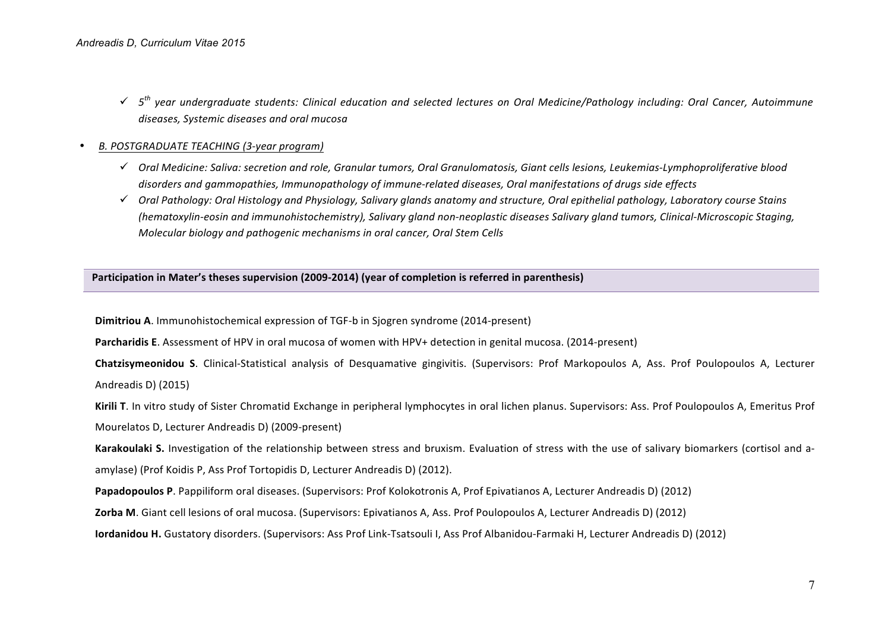ü *5th year undergraduate students: Clinical education and selected lectures on Oral Medicine/Pathology including: Oral Cancer, Autoimmune*  diseases, Systemic diseases and oral mucosa

## • *Β. POSTGRADUATE TEACHING (3-year program)*

- ü *Oral Medicine: Saliva: secretion and role, Granular tumors, Oral Granulomatosis, Giant cells lesions, Leukemias-Lymphoproliferative blood*  disorders and gammopathies, Immunopathology of immune-related diseases, Oral manifestations of drugs side effects
- ü *Oral Pathology: Oral Histology and Physiology, Salivary glands anatomy and structure, Oral epithelial pathology, Laboratory course Stains (hematoxylin-eosin and immunohistochemistry), Salivary gland non-neoplastic diseases Salivary gland tumors, Clinical-Microscopic Staging, Molecular biology and pathogenic mechanisms in oral cancer, Oral Stem Cells*

**Participation in Mater's theses supervision (2009-2014) (year of completion is referred in parenthesis)** 

**Dimitriou A**. Immunohistochemical expression of TGF-b in Sjogren syndrome (2014-present)

**Parcharidis E**. Assessment of HPV in oral mucosa of women with HPV+ detection in genital mucosa. (2014-present)

**Chatzisymeonidou S.** Clinical-Statistical analysis of Desquamative gingivitis. (Supervisors: Prof Markopoulos A, Ass. Prof Poulopoulos A, Lecturer Andreadis D) (2015)

**Kirili T**. In vitro study of Sister Chromatid Exchange in peripheral lymphocytes in oral lichen planus. Supervisors: Ass. Prof Poulopoulos A, Emeritus Prof Mourelatos D, Lecturer Andreadis D) (2009-present) 

Karakoulaki S. Investigation of the relationship between stress and bruxism. Evaluation of stress with the use of salivary biomarkers (cortisol and aamylase) (Prof Koidis P. Ass Prof Tortopidis D. Lecturer Andreadis D) (2012).

**Papadopoulos P**. Pappiliform oral diseases. (Supervisors: Prof Kolokotronis A, Prof Epivatianos A, Lecturer Andreadis D) (2012)

**Zorba M**. Giant cell lesions of oral mucosa. (Supervisors: Epivatianos A, Ass. Prof Poulopoulos A, Lecturer Andreadis D) (2012)

**Iordanidou H.** Gustatory disorders. (Supervisors: Ass Prof Link-Tsatsouli I, Ass Prof Albanidou-Farmaki H, Lecturer Andreadis D) (2012)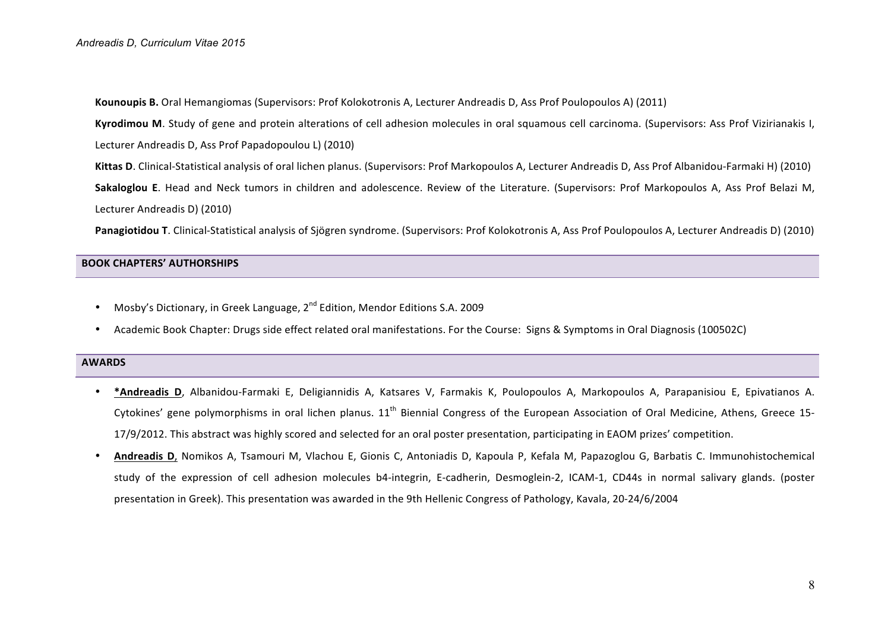**Kounoupis B.** Oral Hemangiomas (Supervisors: Prof Kolokotronis A, Lecturer Andreadis D, Ass Prof Poulopoulos A) (2011)

**Kyrodimou M**. Study of gene and protein alterations of cell adhesion molecules in oral squamous cell carcinoma. (Supervisors: Ass Prof Vizirianakis I, Lecturer Andreadis D. Ass Prof Papadopoulou L) (2010)

**Kittas D**. Clinical-Statistical analysis of oral lichen planus. (Supervisors: Prof Markopoulos A, Lecturer Andreadis D, Ass Prof Albanidou-Farmaki H) (2010)

**Sakaloglou** E. Head and Neck tumors in children and adolescence. Review of the Literature. (Supervisors: Prof Markopoulos A, Ass Prof Belazi M, Lecturer Andreadis D) (2010)

**Panagiotidou T**. Clinical-Statistical analysis of Sjögren syndrome. (Supervisors: Prof Kolokotronis A, Ass Prof Poulopoulos A, Lecturer Andreadis D) (2010)

## **BOOK CHAPTERS' AUTHORSHIPS**

- Mosby's Dictionary, in Greek Language,  $2^{nd}$  Edition, Mendor Editions S.A. 2009
- Academic Book Chapter: Drugs side effect related oral manifestations. For the Course: Signs & Symptoms in Oral Diagnosis (100502C)

#### **AWARDS**

- \***Andreadis D**, Albanidou-Farmaki E, Deligiannidis A, Katsares V, Farmakis K, Poulopoulos A, Markopoulos A, Parapanisiou E, Epivatianos A. Cytokines' gene polymorphisms in oral lichen planus.  $11<sup>th</sup>$  Biennial Congress of the European Association of Oral Medicine, Athens, Greece 15-17/9/2012. This abstract was highly scored and selected for an oral poster presentation, participating in EAOM prizes' competition.
- Andreadis D, Nomikos A, Tsamouri M, Vlachou E, Gionis C, Antoniadis D, Kapoula P, Kefala M, Papazoglou G, Barbatis C. Immunohistochemical study of the expression of cell adhesion molecules b4-integrin, E-cadherin, Desmoglein-2, ICAM-1, CD44s in normal salivary glands. (poster presentation in Greek). This presentation was awarded in the 9th Hellenic Congress of Pathology, Kavala, 20-24/6/2004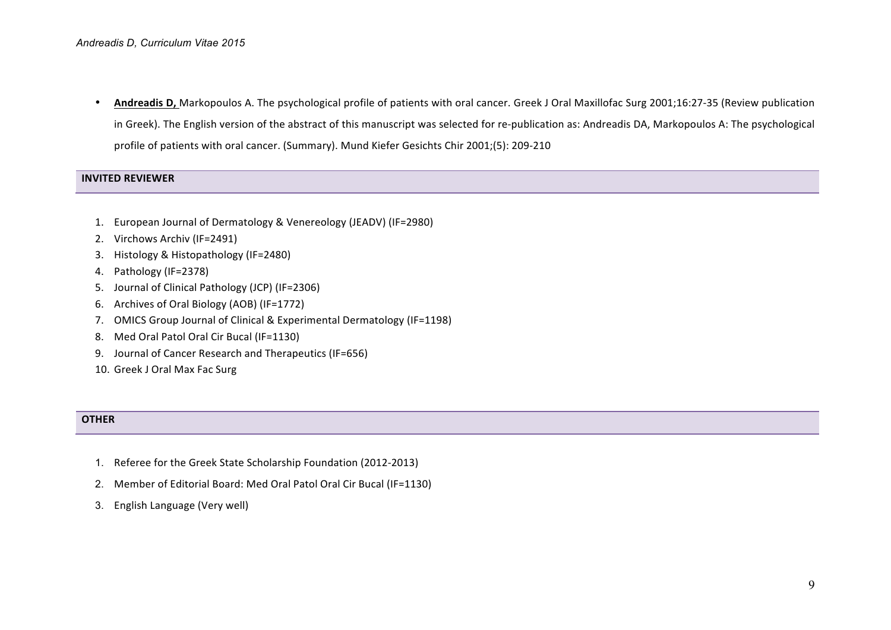Andreadis D, Markopoulos A. The psychological profile of patients with oral cancer. Greek J Oral Maxillofac Surg 2001;16:27-35 (Review publication in Greek). The English version of the abstract of this manuscript was selected for re-publication as: Andreadis DA, Markopoulos A: The psychological profile of patients with oral cancer. (Summary). Mund Kiefer Gesichts Chir 2001;(5): 209-210

## **INVITED REVIEWER**

- 1. European Journal of Dermatology & Venereology (JEADV) (IF=2980)
- 2. Virchows Archiv (IF=2491)
- 3. Histology & Histopathology (IF=2480)
- 4. Pathology (IF=2378)
- 5. Journal of Clinical Pathology (JCP) (IF=2306)
- 6. Αrchives of Oral Biology (AOB) (IF=1772)
- 7. OMICS Group Journal of Clinical & Experimental Dermatology (IF=1198)
- 8. Med Oral Patol Oral Cir Bucal (IF=1130)
- 9. Journal of Cancer Research and Therapeutics (IF=656)
- 10. Greek J Oral Max Fac Surg

### **OTHER**

- 1. Referee for the Greek State Scholarship Foundation (2012-2013)
- 2. Member of Editorial Board: Med Oral Patol Oral Cir Bucal (IF=1130)
- 3. English Language (Very well)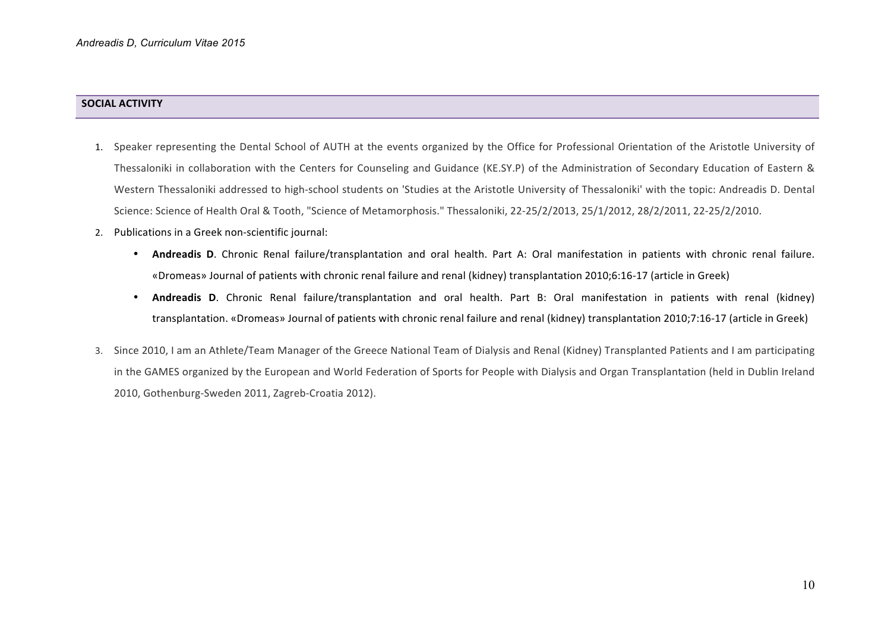# **SOCIAL ACTIVITY**

- 1. Speaker representing the Dental School of AUTH at the events organized by the Office for Professional Orientation of the Aristotle University of Thessaloniki in collaboration with the Centers for Counseling and Guidance (KE.SY.P) of the Administration of Secondary Education of Eastern & Western Thessaloniki addressed to high-school students on 'Studies at the Aristotle University of Thessaloniki' with the topic: Andreadis D. Dental Science: Science of Health Oral & Tooth, "Science of Metamorphosis." Thessaloniki, 22-25/2/2013, 25/1/2012, 28/2/2011, 22-25/2/2010.
- 2. Publications in a Greek non-scientific journal:
	- **Andreadis D.** Chronic Renal failure/transplantation and oral health. Part A: Oral manifestation in patients with chronic renal failure. «Dromeas» Journal of patients with chronic renal failure and renal (kidney) transplantation 2010;6:16-17 (article in Greek)
	- **Andreadis D.** Chronic Renal failure/transplantation and oral health. Part B: Oral manifestation in patients with renal (kidney) transplantation. «Dromeas» Journal of patients with chronic renal failure and renal (kidney) transplantation 2010;7:16-17 (article in Greek)
- 3. Since 2010, I am an Athlete/Team Manager of the Greece National Team of Dialysis and Renal (Kidney) Transplanted Patients and I am participating in the GAMES organized by the European and World Federation of Sports for People with Dialysis and Organ Transplantation (held in Dublin Ireland 2010, Gothenburg-Sweden 2011, Zagreb-Croatia 2012).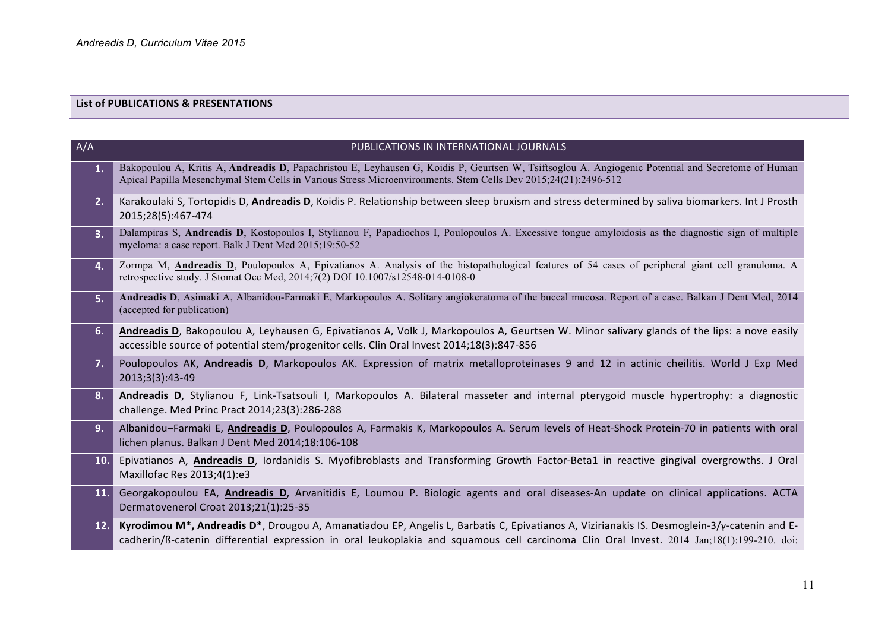# **List of PUBLICATIONS & PRESENTATIONS**

| A/A | PUBLICATIONS IN INTERNATIONAL JOURNALS                                                                                                                                                                                                                                                                             |
|-----|--------------------------------------------------------------------------------------------------------------------------------------------------------------------------------------------------------------------------------------------------------------------------------------------------------------------|
| 1.  | Bakopoulou A, Kritis A, Andreadis D, Papachristou E, Leyhausen G, Koidis P, Geurtsen W, Tsiftsoglou A. Angiogenic Potential and Secretome of Human<br>Apical Papilla Mesenchymal Stem Cells in Various Stress Microenvironments. Stem Cells Dev 2015;24(21):2496-512                                               |
| 2.  | Karakoulaki S, Tortopidis D, Andreadis D, Koidis P. Relationship between sleep bruxism and stress determined by saliva biomarkers. Int J Prosth<br>2015;28(5):467-474                                                                                                                                              |
| 3.  | Dalampiras S, Andreadis D, Kostopoulos I, Stylianou F, Papadiochos I, Poulopoulos A. Excessive tongue amyloidosis as the diagnostic sign of multiple<br>myeloma: a case report. Balk J Dent Med 2015;19:50-52                                                                                                      |
| 4.  | Zormpa M, <b>Andreadis D</b> , Poulopoulos A, Epivatianos A. Analysis of the histopathological features of 54 cases of peripheral giant cell granuloma. A<br>retrospective study. J Stomat Occ Med, 2014;7(2) DOI 10.1007/s12548-014-0108-0                                                                        |
| 5.  | Andreadis D, Asimaki A, Albanidou-Farmaki E, Markopoulos A. Solitary angiokeratoma of the buccal mucosa. Report of a case. Balkan J Dent Med, 2014<br>(accepted for publication)                                                                                                                                   |
| 6.  | Andreadis D, Bakopoulou A, Leyhausen G, Epivatianos A, Volk J, Markopoulos A, Geurtsen W. Minor salivary glands of the lips: a nove easily<br>accessible source of potential stem/progenitor cells. Clin Oral Invest 2014;18(3):847-856                                                                            |
| 7.  | Poulopoulos AK, Andreadis D, Markopoulos AK. Expression of matrix metalloproteinases 9 and 12 in actinic cheilitis. World J Exp Med<br>2013;3(3):43-49                                                                                                                                                             |
| 8.  | Andreadis D, Stylianou F, Link-Tsatsouli I, Markopoulos A. Bilateral masseter and internal pterygoid muscle hypertrophy: a diagnostic<br>challenge. Med Princ Pract 2014;23(3):286-288                                                                                                                             |
| 9.  | Albanidou-Farmaki E, Andreadis D, Poulopoulos A, Farmakis K, Markopoulos A. Serum levels of Heat-Shock Protein-70 in patients with oral<br>lichen planus. Balkan J Dent Med 2014;18:106-108                                                                                                                        |
| 10. | Epivatianos A, Andreadis D, Iordanidis S. Myofibroblasts and Transforming Growth Factor-Beta1 in reactive gingival overgrowths. J Oral<br>Maxillofac Res 2013;4(1):e3                                                                                                                                              |
| 11. | Georgakopoulou EA, Andreadis D, Arvanitidis E, Loumou P. Biologic agents and oral diseases-An update on clinical applications. ACTA<br>Dermatovenerol Croat 2013;21(1):25-35                                                                                                                                       |
| 12. | Kyrodimou M <sup>*</sup> , Andreadis D <sup>*</sup> , Drougou A, Amanatiadou EP, Angelis L, Barbatis C, Epivatianos A, Vizirianakis IS. Desmoglein-3/γ-catenin and E-<br>cadherin/ß-catenin differential expression in oral leukoplakia and squamous cell carcinoma Clin Oral Invest. 2014 Jan;18(1):199-210. doi: |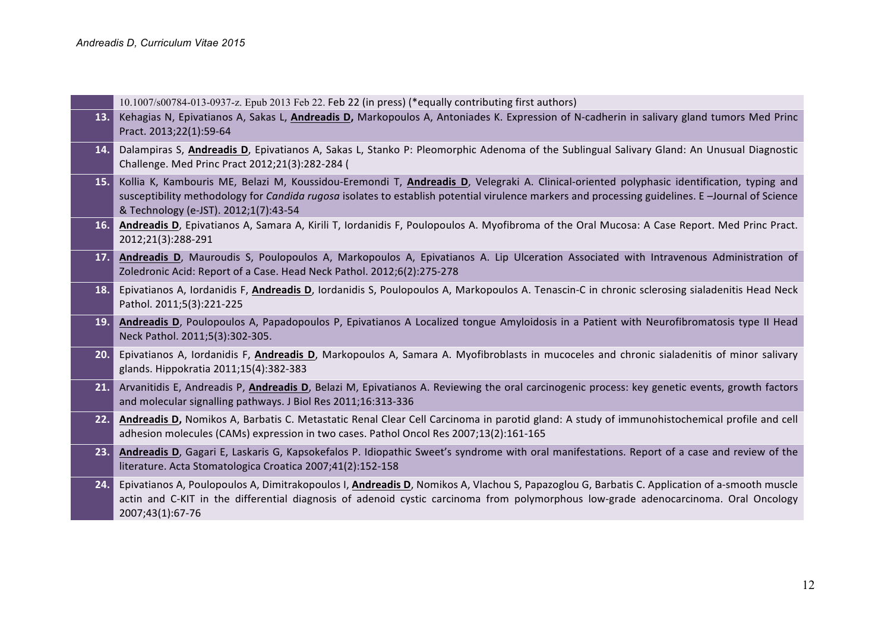| Kehagias N, Epivatianos A, Sakas L, Andreadis D, Markopoulos A, Antoniades K. Expression of N-cadherin in salivary gland tumors Med Princ<br>13.1<br>Pract. 2013;22(1):59-64<br>Dalampiras S, Andreadis D, Epivatianos A, Sakas L, Stanko P: Pleomorphic Adenoma of the Sublingual Salivary Gland: An Unusual Diagnostic<br>14.<br>Challenge. Med Princ Pract 2012;21(3):282-284 (<br>Kollia K, Kambouris ME, Belazi M, Koussidou-Eremondi T, Andreadis D, Velegraki A. Clinical-oriented polyphasic identification, typing and<br>15.<br>susceptibility methodology for Candida rugosa isolates to establish potential virulence markers and processing guidelines. E-Journal of Science<br>& Technology (e-JST). 2012;1(7):43-54<br>Andreadis D, Epivatianos A, Samara A, Kirili T, Iordanidis F, Poulopoulos A. Myofibroma of the Oral Mucosa: A Case Report. Med Princ Pract.<br>16.1<br>2012;21(3):288-291<br>Andreadis D, Mauroudis S, Poulopoulos A, Markopoulos A, Epivatianos A. Lip Ulceration Associated with Intravenous Administration of<br>17.<br>Zoledronic Acid: Report of a Case. Head Neck Pathol. 2012;6(2):275-278<br>Epivatianos A, Iordanidis F, Andreadis D, Iordanidis S, Poulopoulos A, Markopoulos A. Tenascin-C in chronic sclerosing sialadenitis Head Neck<br>18.<br>Pathol. 2011;5(3):221-225<br>Andreadis D, Poulopoulos A, Papadopoulos P, Epivatianos A Localized tongue Amyloidosis in a Patient with Neurofibromatosis type II Head<br>19.<br>Neck Pathol. 2011;5(3):302-305.<br>20.<br>Epivatianos A, Iordanidis F, Andreadis D, Markopoulos A, Samara A. Myofibroblasts in mucoceles and chronic sialadenitis of minor salivary<br>glands. Hippokratia 2011;15(4):382-383<br>Arvanitidis E, Andreadis P, Andreadis D, Belazi M, Epivatianos A. Reviewing the oral carcinogenic process: key genetic events, growth factors<br>21.<br>and molecular signalling pathways. J Biol Res 2011;16:313-336<br>Andreadis D, Nomikos A, Barbatis C. Metastatic Renal Clear Cell Carcinoma in parotid gland: A study of immunohistochemical profile and cell<br>22.<br>adhesion molecules (CAMs) expression in two cases. Pathol Oncol Res 2007;13(2):161-165<br>Andreadis D, Gagari E, Laskaris G, Kapsokefalos P. Idiopathic Sweet's syndrome with oral manifestations. Report of a case and review of the<br>23.<br>literature. Acta Stomatologica Croatica 2007;41(2):152-158<br>24.<br>Epivatianos A, Poulopoulos A, Dimitrakopoulos I, Andreadis D, Nomikos A, Vlachou S, Papazoglou G, Barbatis C. Application of a-smooth muscle<br>actin and C-KIT in the differential diagnosis of adenoid cystic carcinoma from polymorphous low-grade adenocarcinoma. Oral Oncology<br>2007;43(1):67-76 | $10.1007 \times 600784 - 013 - 0937 - z$ . Epub 2013 Feb 22. Feb 22 (in press) (*equally contributing first authors) |
|--------------------------------------------------------------------------------------------------------------------------------------------------------------------------------------------------------------------------------------------------------------------------------------------------------------------------------------------------------------------------------------------------------------------------------------------------------------------------------------------------------------------------------------------------------------------------------------------------------------------------------------------------------------------------------------------------------------------------------------------------------------------------------------------------------------------------------------------------------------------------------------------------------------------------------------------------------------------------------------------------------------------------------------------------------------------------------------------------------------------------------------------------------------------------------------------------------------------------------------------------------------------------------------------------------------------------------------------------------------------------------------------------------------------------------------------------------------------------------------------------------------------------------------------------------------------------------------------------------------------------------------------------------------------------------------------------------------------------------------------------------------------------------------------------------------------------------------------------------------------------------------------------------------------------------------------------------------------------------------------------------------------------------------------------------------------------------------------------------------------------------------------------------------------------------------------------------------------------------------------------------------------------------------------------------------------------------------------------------------------------------------------------------------------------------------------------------------------------------------------------------------------------------------------------------------------------------------------------------------------------------------------------------------------------------------------------------------------------------|----------------------------------------------------------------------------------------------------------------------|
|                                                                                                                                                                                                                                                                                                                                                                                                                                                                                                                                                                                                                                                                                                                                                                                                                                                                                                                                                                                                                                                                                                                                                                                                                                                                                                                                                                                                                                                                                                                                                                                                                                                                                                                                                                                                                                                                                                                                                                                                                                                                                                                                                                                                                                                                                                                                                                                                                                                                                                                                                                                                                                                                                                                                |                                                                                                                      |
|                                                                                                                                                                                                                                                                                                                                                                                                                                                                                                                                                                                                                                                                                                                                                                                                                                                                                                                                                                                                                                                                                                                                                                                                                                                                                                                                                                                                                                                                                                                                                                                                                                                                                                                                                                                                                                                                                                                                                                                                                                                                                                                                                                                                                                                                                                                                                                                                                                                                                                                                                                                                                                                                                                                                |                                                                                                                      |
|                                                                                                                                                                                                                                                                                                                                                                                                                                                                                                                                                                                                                                                                                                                                                                                                                                                                                                                                                                                                                                                                                                                                                                                                                                                                                                                                                                                                                                                                                                                                                                                                                                                                                                                                                                                                                                                                                                                                                                                                                                                                                                                                                                                                                                                                                                                                                                                                                                                                                                                                                                                                                                                                                                                                |                                                                                                                      |
|                                                                                                                                                                                                                                                                                                                                                                                                                                                                                                                                                                                                                                                                                                                                                                                                                                                                                                                                                                                                                                                                                                                                                                                                                                                                                                                                                                                                                                                                                                                                                                                                                                                                                                                                                                                                                                                                                                                                                                                                                                                                                                                                                                                                                                                                                                                                                                                                                                                                                                                                                                                                                                                                                                                                |                                                                                                                      |
|                                                                                                                                                                                                                                                                                                                                                                                                                                                                                                                                                                                                                                                                                                                                                                                                                                                                                                                                                                                                                                                                                                                                                                                                                                                                                                                                                                                                                                                                                                                                                                                                                                                                                                                                                                                                                                                                                                                                                                                                                                                                                                                                                                                                                                                                                                                                                                                                                                                                                                                                                                                                                                                                                                                                |                                                                                                                      |
|                                                                                                                                                                                                                                                                                                                                                                                                                                                                                                                                                                                                                                                                                                                                                                                                                                                                                                                                                                                                                                                                                                                                                                                                                                                                                                                                                                                                                                                                                                                                                                                                                                                                                                                                                                                                                                                                                                                                                                                                                                                                                                                                                                                                                                                                                                                                                                                                                                                                                                                                                                                                                                                                                                                                |                                                                                                                      |
|                                                                                                                                                                                                                                                                                                                                                                                                                                                                                                                                                                                                                                                                                                                                                                                                                                                                                                                                                                                                                                                                                                                                                                                                                                                                                                                                                                                                                                                                                                                                                                                                                                                                                                                                                                                                                                                                                                                                                                                                                                                                                                                                                                                                                                                                                                                                                                                                                                                                                                                                                                                                                                                                                                                                |                                                                                                                      |
|                                                                                                                                                                                                                                                                                                                                                                                                                                                                                                                                                                                                                                                                                                                                                                                                                                                                                                                                                                                                                                                                                                                                                                                                                                                                                                                                                                                                                                                                                                                                                                                                                                                                                                                                                                                                                                                                                                                                                                                                                                                                                                                                                                                                                                                                                                                                                                                                                                                                                                                                                                                                                                                                                                                                |                                                                                                                      |
|                                                                                                                                                                                                                                                                                                                                                                                                                                                                                                                                                                                                                                                                                                                                                                                                                                                                                                                                                                                                                                                                                                                                                                                                                                                                                                                                                                                                                                                                                                                                                                                                                                                                                                                                                                                                                                                                                                                                                                                                                                                                                                                                                                                                                                                                                                                                                                                                                                                                                                                                                                                                                                                                                                                                |                                                                                                                      |
|                                                                                                                                                                                                                                                                                                                                                                                                                                                                                                                                                                                                                                                                                                                                                                                                                                                                                                                                                                                                                                                                                                                                                                                                                                                                                                                                                                                                                                                                                                                                                                                                                                                                                                                                                                                                                                                                                                                                                                                                                                                                                                                                                                                                                                                                                                                                                                                                                                                                                                                                                                                                                                                                                                                                |                                                                                                                      |
|                                                                                                                                                                                                                                                                                                                                                                                                                                                                                                                                                                                                                                                                                                                                                                                                                                                                                                                                                                                                                                                                                                                                                                                                                                                                                                                                                                                                                                                                                                                                                                                                                                                                                                                                                                                                                                                                                                                                                                                                                                                                                                                                                                                                                                                                                                                                                                                                                                                                                                                                                                                                                                                                                                                                |                                                                                                                      |
|                                                                                                                                                                                                                                                                                                                                                                                                                                                                                                                                                                                                                                                                                                                                                                                                                                                                                                                                                                                                                                                                                                                                                                                                                                                                                                                                                                                                                                                                                                                                                                                                                                                                                                                                                                                                                                                                                                                                                                                                                                                                                                                                                                                                                                                                                                                                                                                                                                                                                                                                                                                                                                                                                                                                |                                                                                                                      |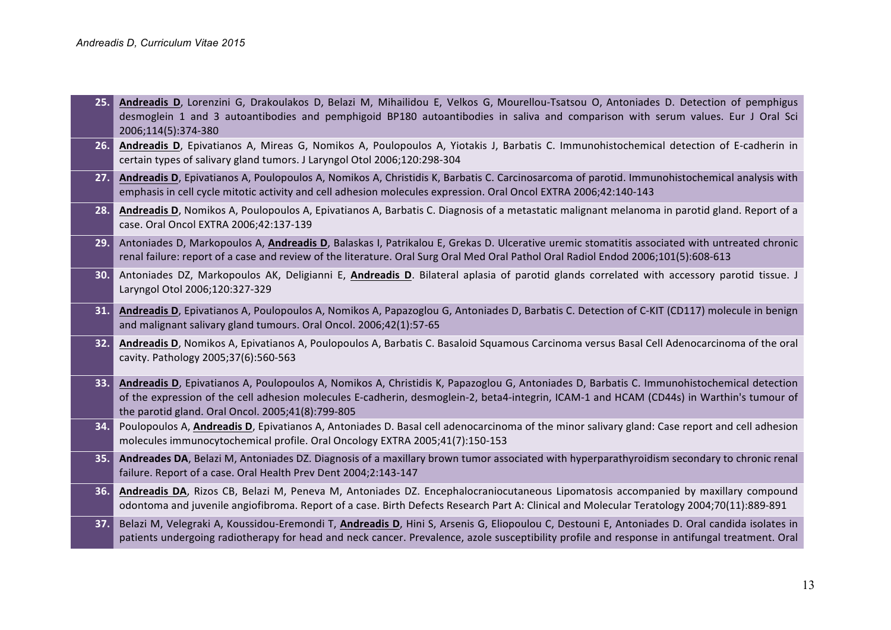|     | 25. Andreadis D, Lorenzini G, Drakoulakos D, Belazi M, Mihailidou E, Velkos G, Mourellou-Tsatsou O, Antoniades D. Detection of pemphigus<br>desmoglein 1 and 3 autoantibodies and pemphigoid BP180 autoantibodies in saliva and comparison with serum values. Eur J Oral Sci<br>2006;114(5):374-380                                         |
|-----|---------------------------------------------------------------------------------------------------------------------------------------------------------------------------------------------------------------------------------------------------------------------------------------------------------------------------------------------|
|     | 26. Andreadis D, Epivatianos A, Mireas G, Nomikos A, Poulopoulos A, Yiotakis J, Barbatis C. Immunohistochemical detection of E-cadherin in<br>certain types of salivary gland tumors. J Laryngol Otol 2006;120:298-304                                                                                                                      |
|     | 27. Andreadis D, Epivatianos A, Poulopoulos A, Nomikos A, Christidis K, Barbatis C. Carcinosarcoma of parotid. Immunohistochemical analysis with<br>emphasis in cell cycle mitotic activity and cell adhesion molecules expression. Oral Oncol EXTRA 2006;42:140-143                                                                        |
| 28. | Andreadis D, Nomikos A, Poulopoulos A, Epivatianos A, Barbatis C. Diagnosis of a metastatic malignant melanoma in parotid gland. Report of a<br>case. Oral Oncol EXTRA 2006;42:137-139                                                                                                                                                      |
|     | 29. Antoniades D, Markopoulos A, Andreadis D, Balaskas I, Patrikalou E, Grekas D. Ulcerative uremic stomatitis associated with untreated chronic<br>renal failure: report of a case and review of the literature. Oral Surg Oral Med Oral Pathol Oral Radiol Endod 2006;101(5):608-613                                                      |
|     | 30. Antoniades DZ, Markopoulos AK, Deligianni E, Andreadis D. Bilateral aplasia of parotid glands correlated with accessory parotid tissue. J<br>Laryngol Otol 2006;120:327-329                                                                                                                                                             |
| 31. | Andreadis D, Epivatianos A, Poulopoulos A, Nomikos A, Papazoglou G, Antoniades D, Barbatis C. Detection of C-KIT (CD117) molecule in benign<br>and malignant salivary gland tumours. Oral Oncol. 2006;42(1):57-65                                                                                                                           |
| 32. | Andreadis D, Nomikos A, Epivatianos A, Poulopoulos A, Barbatis C. Basaloid Squamous Carcinoma versus Basal Cell Adenocarcinoma of the oral<br>cavity. Pathology 2005;37(6):560-563                                                                                                                                                          |
| 33. | Andreadis D, Epivatianos A, Poulopoulos A, Nomikos A, Christidis K, Papazoglou G, Antoniades D, Barbatis C. Immunohistochemical detection<br>of the expression of the cell adhesion molecules E-cadherin, desmoglein-2, beta4-integrin, ICAM-1 and HCAM (CD44s) in Warthin's tumour of<br>the parotid gland. Oral Oncol. 2005;41(8):799-805 |
|     | 34. Poulopoulos A, Andreadis D, Epivatianos A, Antoniades D. Basal cell adenocarcinoma of the minor salivary gland: Case report and cell adhesion<br>molecules immunocytochemical profile. Oral Oncology EXTRA 2005;41(7):150-153                                                                                                           |
|     | 35. Andreades DA, Belazi M, Antoniades DZ. Diagnosis of a maxillary brown tumor associated with hyperparathyroidism secondary to chronic renal<br>failure. Report of a case. Oral Health Prev Dent 2004;2:143-147                                                                                                                           |
| 36. | Andreadis DA, Rizos CB, Belazi M, Peneva M, Antoniades DZ. Encephalocraniocutaneous Lipomatosis accompanied by maxillary compound<br>odontoma and juvenile angiofibroma. Report of a case. Birth Defects Research Part A: Clinical and Molecular Teratology 2004;70(11):889-891                                                             |
|     | 37. Belazi M, Velegraki A, Koussidou-Eremondi T, Andreadis D, Hini S, Arsenis G, Eliopoulou C, Destouni E, Antoniades D. Oral candida isolates in<br>patients undergoing radiotherapy for head and neck cancer. Prevalence, azole susceptibility profile and response in antifungal treatment. Oral                                         |
|     |                                                                                                                                                                                                                                                                                                                                             |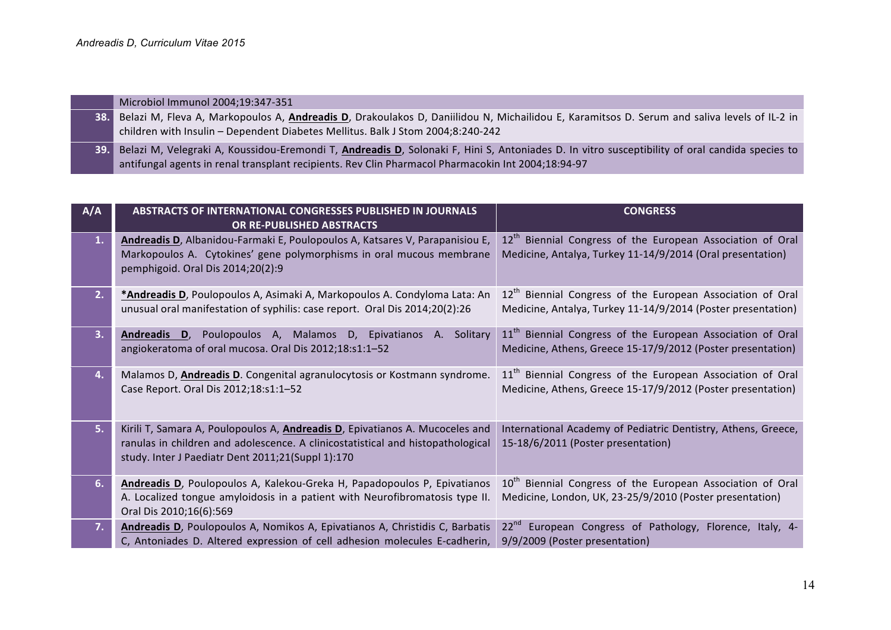|       | Microbiol Immunol 2004;19:347-351                                                                                                              |
|-------|------------------------------------------------------------------------------------------------------------------------------------------------|
| 38.   | Belazi M, Fleva A, Markopoulos A, Andreadis D, Drakoulakos D, Daniilidou N, Michailidou E, Karamitsos D. Serum and saliva levels of IL-2 in    |
|       | children with Insulin - Dependent Diabetes Mellitus. Balk J Stom 2004;8:240-242                                                                |
| 39. l | Belazi M, Velegraki A, Koussidou-Eremondi T, Andreadis D, Solonaki F, Hini S, Antoniades D. In vitro susceptibility of oral candida species to |
|       | antifungal agents in renal transplant recipients. Rev Clin Pharmacol Pharmacokin Int 2004;18:94-97                                             |

| A/A | <b>ABSTRACTS OF INTERNATIONAL CONGRESSES PUBLISHED IN JOURNALS</b><br>OR RE-PUBLISHED ABSTRACTS                                                                                                                              | <b>CONGRESS</b>                                                                                                                        |
|-----|------------------------------------------------------------------------------------------------------------------------------------------------------------------------------------------------------------------------------|----------------------------------------------------------------------------------------------------------------------------------------|
| 1.  | Andreadis D, Albanidou-Farmaki E, Poulopoulos A, Katsares V, Parapanisiou E,<br>Markopoulos A. Cytokines' gene polymorphisms in oral mucous membrane<br>pemphigoid. Oral Dis 2014;20(2):9                                    | 12 <sup>th</sup> Biennial Congress of the European Association of Oral<br>Medicine, Antalya, Turkey 11-14/9/2014 (Oral presentation)   |
| 2.  | *Andreadis D, Poulopoulos A, Asimaki A, Markopoulos A. Condyloma Lata: An<br>unusual oral manifestation of syphilis: case report. Oral Dis 2014;20(2):26                                                                     | 12 <sup>th</sup> Biennial Congress of the European Association of Oral<br>Medicine, Antalya, Turkey 11-14/9/2014 (Poster presentation) |
| 3.  | Andreadis D, Poulopoulos A, Malamos D, Epivatianos A. Solitary<br>angiokeratoma of oral mucosa. Oral Dis 2012;18:s1:1-52                                                                                                     | 11 <sup>th</sup> Biennial Congress of the European Association of Oral<br>Medicine, Athens, Greece 15-17/9/2012 (Poster presentation)  |
| 4.  | Malamos D, Andreadis D. Congenital agranulocytosis or Kostmann syndrome.<br>Case Report. Oral Dis 2012;18:s1:1-52                                                                                                            | 11 <sup>th</sup> Biennial Congress of the European Association of Oral<br>Medicine, Athens, Greece 15-17/9/2012 (Poster presentation)  |
| 5.  | Kirili T, Samara A, Poulopoulos A, <b>Andreadis D</b> , Epivatianos A. Mucoceles and<br>ranulas in children and adolescence. A clinicostatistical and histopathological<br>study. Inter J Paediatr Dent 2011;21(Suppl 1):170 | International Academy of Pediatric Dentistry, Athens, Greece,<br>15-18/6/2011 (Poster presentation)                                    |
| 6.  | Andreadis D, Poulopoulos A, Kalekou-Greka H, Papadopoulos P, Epivatianos<br>A. Localized tongue amyloidosis in a patient with Neurofibromatosis type II.<br>Oral Dis 2010;16(6):569                                          | 10 <sup>th</sup> Biennial Congress of the European Association of Oral<br>Medicine, London, UK, 23-25/9/2010 (Poster presentation)     |
| 7.  | Andreadis D, Poulopoulos A, Nomikos A, Epivatianos A, Christidis C, Barbatis<br>C, Antoniades D. Altered expression of cell adhesion molecules E-cadherin,                                                                   | European Congress of Pathology, Florence, Italy, 4-<br>$22^{nd}$<br>9/9/2009 (Poster presentation)                                     |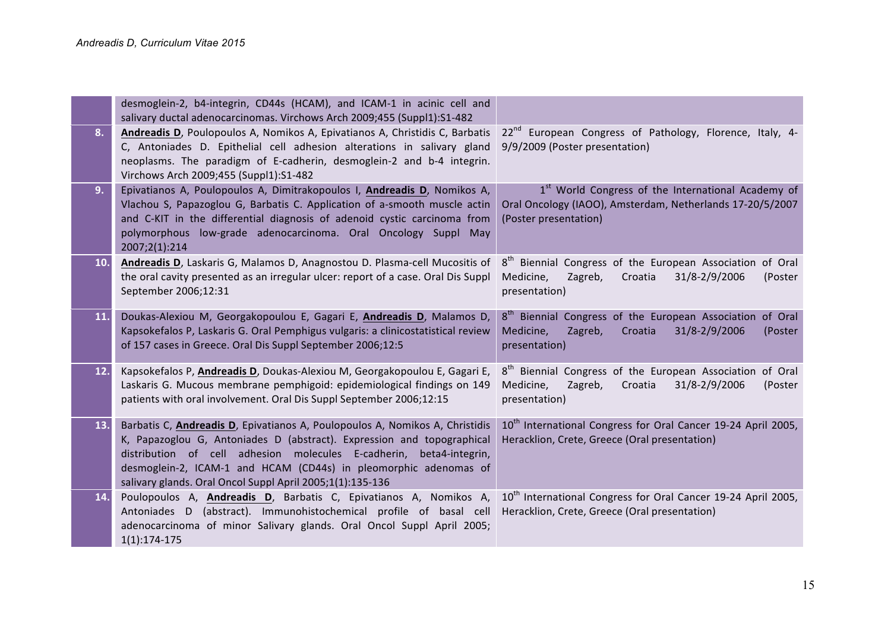|     | desmoglein-2, b4-integrin, CD44s (HCAM), and ICAM-1 in acinic cell and<br>salivary ductal adenocarcinomas. Virchows Arch 2009;455 (Suppl1):S1-482                                                                                                                                                                                                                      |                                                                                                                                                       |
|-----|------------------------------------------------------------------------------------------------------------------------------------------------------------------------------------------------------------------------------------------------------------------------------------------------------------------------------------------------------------------------|-------------------------------------------------------------------------------------------------------------------------------------------------------|
| 8.  | Andreadis D, Poulopoulos A, Nomikos A, Epivatianos A, Christidis C, Barbatis<br>C, Antoniades D. Epithelial cell adhesion alterations in salivary gland<br>neoplasms. The paradigm of E-cadherin, desmoglein-2 and b-4 integrin.<br>Virchows Arch 2009;455 (Suppl1):S1-482                                                                                             | 22 <sup>nd</sup> European Congress of Pathology, Florence, Italy, 4-<br>9/9/2009 (Poster presentation)                                                |
| 9.  | Epivatianos A, Poulopoulos A, Dimitrakopoulos I, Andreadis D, Nomikos A,<br>Vlachou S, Papazoglou G, Barbatis C. Application of a-smooth muscle actin<br>and C-KIT in the differential diagnosis of adenoid cystic carcinoma from<br>polymorphous low-grade adenocarcinoma. Oral Oncology Suppl May<br>2007;2(1):214                                                   | 1 <sup>st</sup> World Congress of the International Academy of<br>Oral Oncology (IAOO), Amsterdam, Netherlands 17-20/5/2007<br>(Poster presentation)  |
| 10. | Andreadis D, Laskaris G, Malamos D, Anagnostou D. Plasma-cell Mucositis of<br>the oral cavity presented as an irregular ulcer: report of a case. Oral Dis Suppl<br>September 2006;12:31                                                                                                                                                                                | 8 <sup>th</sup> Biennial Congress of the European Association of Oral<br>31/8-2/9/2006<br>Medicine,<br>Zagreb,<br>Croatia<br>(Poster<br>presentation) |
| 11. | Doukas-Alexiou M, Georgakopoulou E, Gagari E, Andreadis D, Malamos D,<br>Kapsokefalos P, Laskaris G. Oral Pemphigus vulgaris: a clinicostatistical review<br>of 157 cases in Greece. Oral Dis Suppl September 2006;12:5                                                                                                                                                | 8 <sup>th</sup> Biennial Congress of the European Association of Oral<br>Medicine,<br>31/8-2/9/2006<br>Zagreb,<br>Croatia<br>(Poster<br>presentation) |
| 12. | Kapsokefalos P, <b>Andreadis D</b> , Doukas-Alexiou M, Georgakopoulou E, Gagari E,<br>Laskaris G. Mucous membrane pemphigoid: epidemiological findings on 149<br>patients with oral involvement. Oral Dis Suppl September 2006;12:15                                                                                                                                   | 8 <sup>th</sup> Biennial Congress of the European Association of Oral<br>Zagreb,<br>31/8-2/9/2006<br>Medicine,<br>Croatia<br>(Poster<br>presentation) |
| 13. | Barbatis C, <i>Andreadis D</i> , Epivatianos A, Poulopoulos A, Nomikos A, Christidis<br>K, Papazoglou G, Antoniades D (abstract). Expression and topographical<br>distribution of cell adhesion molecules E-cadherin, beta4-integrin,<br>desmoglein-2, ICAM-1 and HCAM (CD44s) in pleomorphic adenomas of<br>salivary glands. Oral Oncol Suppl April 2005;1(1):135-136 | 10 <sup>th</sup> International Congress for Oral Cancer 19-24 April 2005,<br>Heracklion, Crete, Greece (Oral presentation)                            |
| 14. | Poulopoulos A, Andreadis D, Barbatis C, Epivatianos A, Nomikos A,<br>Antoniades D (abstract). Immunohistochemical profile of basal cell<br>adenocarcinoma of minor Salivary glands. Oral Oncol Suppl April 2005;<br>$1(1):174-175$                                                                                                                                     | 10 <sup>th</sup> International Congress for Oral Cancer 19-24 April 2005,<br>Heracklion, Crete, Greece (Oral presentation)                            |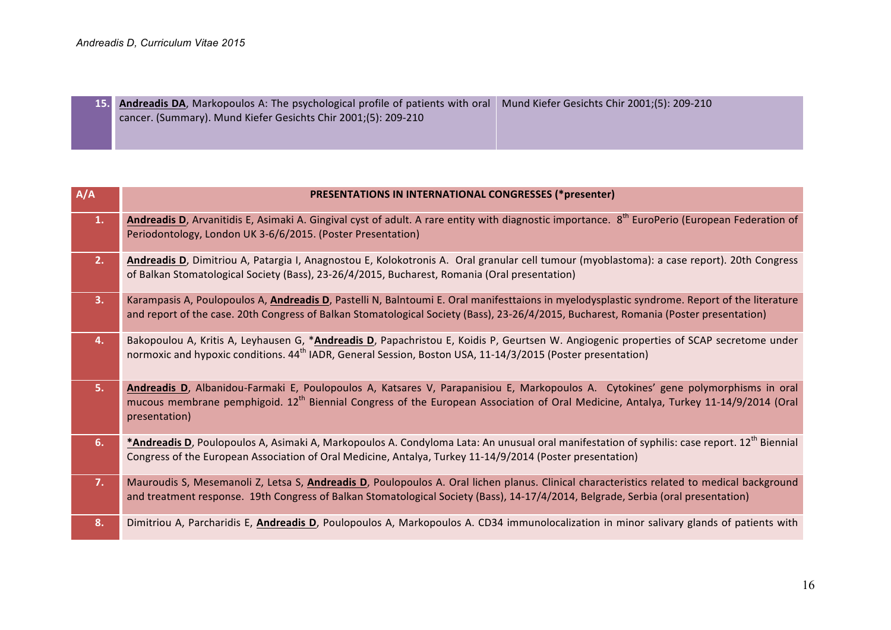**15. 1** cancer. (Summary). Mund Kiefer Gesichts Chir 2001;(5): 209-210 **. Andreadis DA**, Markopoulos A: The psychological profile of patients with oral | Mund Kiefer Gesichts Chir 2001;(5): 209-210

| Andreadis D, Arvanitidis E, Asimaki A. Gingival cyst of adult. A rare entity with diagnostic importance. 8 <sup>th</sup> EuroPerio (European Federation of<br>1.<br>Periodontology, London UK 3-6/6/2015. (Poster Presentation)<br>2.<br>Andreadis D, Dimitriou A, Patargia I, Anagnostou E, Kolokotronis A. Oral granular cell tumour (myoblastoma): a case report). 20th Congress<br>of Balkan Stomatological Society (Bass), 23-26/4/2015, Bucharest, Romania (Oral presentation)<br>3.<br>Karampasis A, Poulopoulos A, Andreadis D, Pastelli N, Balntoumi E. Oral manifesttaions in myelodysplastic syndrome. Report of the literature<br>and report of the case. 20th Congress of Balkan Stomatological Society (Bass), 23-26/4/2015, Bucharest, Romania (Poster presentation)<br>4.<br>Bakopoulou A, Kritis A, Leyhausen G, *Andreadis D, Papachristou E, Koidis P, Geurtsen W. Angiogenic properties of SCAP secretome under<br>normoxic and hypoxic conditions. 44 <sup>th</sup> IADR, General Session, Boston USA, 11-14/3/2015 (Poster presentation)<br>5.<br>Andreadis D, Albanidou-Farmaki E, Poulopoulos A, Katsares V, Parapanisiou E, Markopoulos A. Cytokines' gene polymorphisms in oral<br>mucous membrane pemphigoid. 12 <sup>th</sup> Biennial Congress of the European Association of Oral Medicine, Antalya, Turkey 11-14/9/2014 (Oral<br>presentation)<br>* <b>Andreadis D</b> , Poulopoulos A, Asimaki A, Markopoulos A. Condyloma Lata: An unusual oral manifestation of syphilis: case report. 12 <sup>th</sup> Biennial<br>6.<br>Congress of the European Association of Oral Medicine, Antalya, Turkey 11-14/9/2014 (Poster presentation)<br>7.<br>Mauroudis S, Mesemanoli Z, Letsa S, Andreadis D, Poulopoulos A. Oral lichen planus. Clinical characteristics related to medical background<br>and treatment response. 19th Congress of Balkan Stomatological Society (Bass), 14-17/4/2014, Belgrade, Serbia (oral presentation)<br>8.<br>Dimitriou A, Parcharidis E, Andreadis D, Poulopoulos A, Markopoulos A. CD34 immunolocalization in minor salivary glands of patients with | A/A | <b>PRESENTATIONS IN INTERNATIONAL CONGRESSES (*presenter)</b> |
|------------------------------------------------------------------------------------------------------------------------------------------------------------------------------------------------------------------------------------------------------------------------------------------------------------------------------------------------------------------------------------------------------------------------------------------------------------------------------------------------------------------------------------------------------------------------------------------------------------------------------------------------------------------------------------------------------------------------------------------------------------------------------------------------------------------------------------------------------------------------------------------------------------------------------------------------------------------------------------------------------------------------------------------------------------------------------------------------------------------------------------------------------------------------------------------------------------------------------------------------------------------------------------------------------------------------------------------------------------------------------------------------------------------------------------------------------------------------------------------------------------------------------------------------------------------------------------------------------------------------------------------------------------------------------------------------------------------------------------------------------------------------------------------------------------------------------------------------------------------------------------------------------------------------------------------------------------------------------------------------------------------------------------------------------------------------------------------------------------------|-----|---------------------------------------------------------------|
|                                                                                                                                                                                                                                                                                                                                                                                                                                                                                                                                                                                                                                                                                                                                                                                                                                                                                                                                                                                                                                                                                                                                                                                                                                                                                                                                                                                                                                                                                                                                                                                                                                                                                                                                                                                                                                                                                                                                                                                                                                                                                                                  |     |                                                               |
|                                                                                                                                                                                                                                                                                                                                                                                                                                                                                                                                                                                                                                                                                                                                                                                                                                                                                                                                                                                                                                                                                                                                                                                                                                                                                                                                                                                                                                                                                                                                                                                                                                                                                                                                                                                                                                                                                                                                                                                                                                                                                                                  |     |                                                               |
|                                                                                                                                                                                                                                                                                                                                                                                                                                                                                                                                                                                                                                                                                                                                                                                                                                                                                                                                                                                                                                                                                                                                                                                                                                                                                                                                                                                                                                                                                                                                                                                                                                                                                                                                                                                                                                                                                                                                                                                                                                                                                                                  |     |                                                               |
|                                                                                                                                                                                                                                                                                                                                                                                                                                                                                                                                                                                                                                                                                                                                                                                                                                                                                                                                                                                                                                                                                                                                                                                                                                                                                                                                                                                                                                                                                                                                                                                                                                                                                                                                                                                                                                                                                                                                                                                                                                                                                                                  |     |                                                               |
|                                                                                                                                                                                                                                                                                                                                                                                                                                                                                                                                                                                                                                                                                                                                                                                                                                                                                                                                                                                                                                                                                                                                                                                                                                                                                                                                                                                                                                                                                                                                                                                                                                                                                                                                                                                                                                                                                                                                                                                                                                                                                                                  |     |                                                               |
|                                                                                                                                                                                                                                                                                                                                                                                                                                                                                                                                                                                                                                                                                                                                                                                                                                                                                                                                                                                                                                                                                                                                                                                                                                                                                                                                                                                                                                                                                                                                                                                                                                                                                                                                                                                                                                                                                                                                                                                                                                                                                                                  |     |                                                               |
|                                                                                                                                                                                                                                                                                                                                                                                                                                                                                                                                                                                                                                                                                                                                                                                                                                                                                                                                                                                                                                                                                                                                                                                                                                                                                                                                                                                                                                                                                                                                                                                                                                                                                                                                                                                                                                                                                                                                                                                                                                                                                                                  |     |                                                               |
|                                                                                                                                                                                                                                                                                                                                                                                                                                                                                                                                                                                                                                                                                                                                                                                                                                                                                                                                                                                                                                                                                                                                                                                                                                                                                                                                                                                                                                                                                                                                                                                                                                                                                                                                                                                                                                                                                                                                                                                                                                                                                                                  |     |                                                               |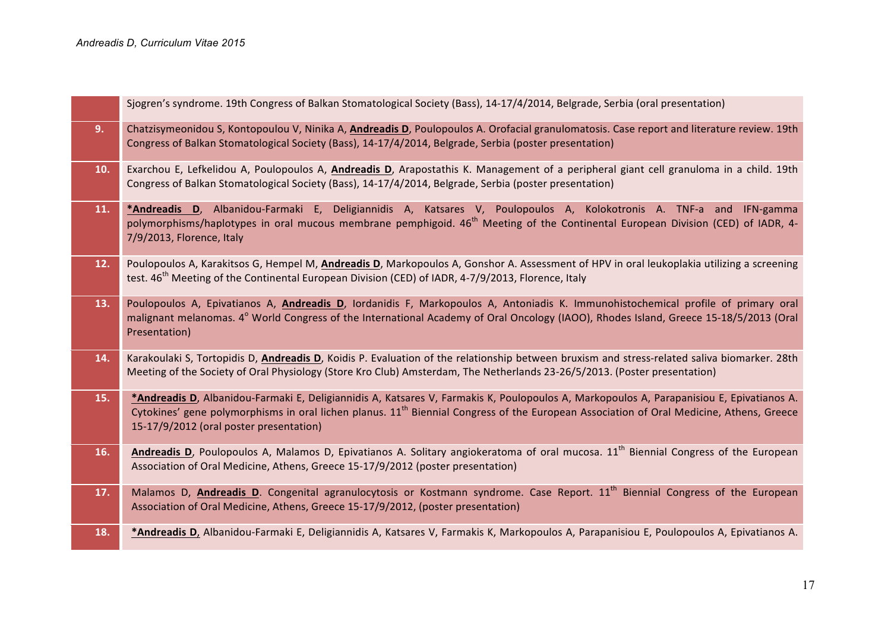|     | Sjogren's syndrome. 19th Congress of Balkan Stomatological Society (Bass), 14-17/4/2014, Belgrade, Serbia (oral presentation)                                                                                                                                                                                                               |
|-----|---------------------------------------------------------------------------------------------------------------------------------------------------------------------------------------------------------------------------------------------------------------------------------------------------------------------------------------------|
| 9.  | Chatzisymeonidou S, Kontopoulou V, Ninika A, Andreadis D, Poulopoulos A. Orofacial granulomatosis. Case report and literature review. 19th<br>Congress of Balkan Stomatological Society (Bass), 14-17/4/2014, Belgrade, Serbia (poster presentation)                                                                                        |
| 10. | Exarchou E, Lefkelidou A, Poulopoulos A, Andreadis D, Arapostathis K. Management of a peripheral giant cell granuloma in a child. 19th<br>Congress of Balkan Stomatological Society (Bass), 14-17/4/2014, Belgrade, Serbia (poster presentation)                                                                                            |
| 11. | *Andreadis D, Albanidou-Farmaki E, Deligiannidis A, Katsares V, Poulopoulos A, Kolokotronis A. TNF-a and IFN-gamma<br>polymorphisms/haplotypes in oral mucous membrane pemphigoid. 46 <sup>th</sup> Meeting of the Continental European Division (CED) of IADR, 4-<br>7/9/2013, Florence, Italy                                             |
| 12. | Poulopoulos A, Karakitsos G, Hempel M, Andreadis D, Markopoulos A, Gonshor A. Assessment of HPV in oral leukoplakia utilizing a screening<br>test. 46 <sup>th</sup> Meeting of the Continental European Division (CED) of IADR, 4-7/9/2013, Florence, Italy                                                                                 |
| 13. | Poulopoulos A, Epivatianos A, Andreadis D, Iordanidis F, Markopoulos A, Antoniadis K. Immunohistochemical profile of primary oral<br>malignant melanomas. 4° World Congress of the International Academy of Oral Oncology (IAOO), Rhodes Island, Greece 15-18/5/2013 (Oral<br>Presentation)                                                 |
| 14. | Karakoulaki S, Tortopidis D, Andreadis D, Koidis P. Evaluation of the relationship between bruxism and stress-related saliva biomarker. 28th<br>Meeting of the Society of Oral Physiology (Store Kro Club) Amsterdam, The Netherlands 23-26/5/2013. (Poster presentation)                                                                   |
| 15. | *Andreadis D, Albanidou-Farmaki E, Deligiannidis A, Katsares V, Farmakis K, Poulopoulos A, Markopoulos A, Parapanisiou E, Epivatianos A.<br>Cytokines' gene polymorphisms in oral lichen planus. 11 <sup>th</sup> Biennial Congress of the European Association of Oral Medicine, Athens, Greece<br>15-17/9/2012 (oral poster presentation) |
| 16. | Andreadis D, Poulopoulos A, Malamos D, Epivatianos A. Solitary angiokeratoma of oral mucosa. 11 <sup>th</sup> Biennial Congress of the European<br>Association of Oral Medicine, Athens, Greece 15-17/9/2012 (poster presentation)                                                                                                          |
| 17. | Malamos D, Andreadis D. Congenital agranulocytosis or Kostmann syndrome. Case Report. 11 <sup>th</sup> Biennial Congress of the European<br>Association of Oral Medicine, Athens, Greece 15-17/9/2012, (poster presentation)                                                                                                                |
| 18. | *Andreadis D, Albanidou-Farmaki E, Deligiannidis A, Katsares V, Farmakis K, Markopoulos A, Parapanisiou E, Poulopoulos A, Epivatianos A.                                                                                                                                                                                                    |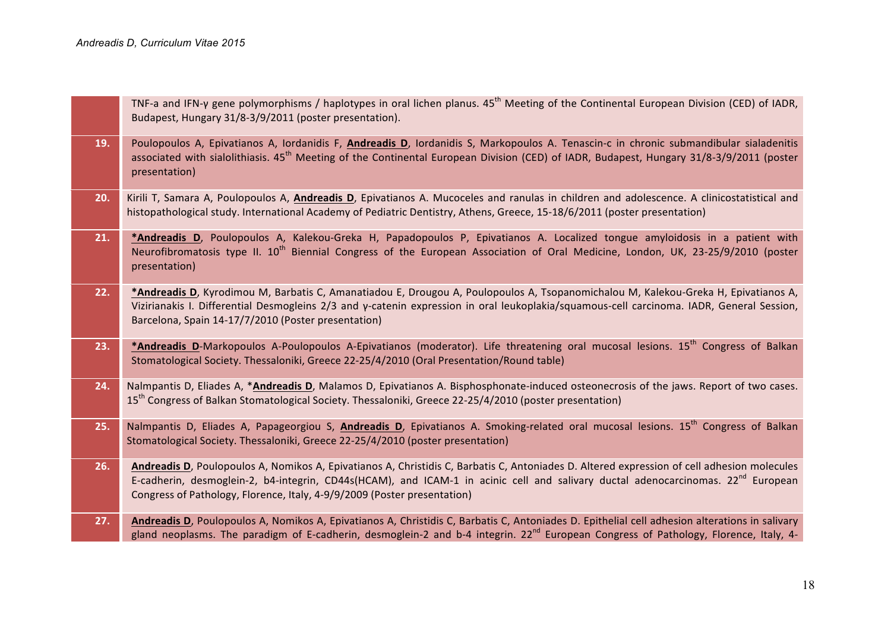|     | TNF-a and IFN-y gene polymorphisms / haplotypes in oral lichen planus. $45th$ Meeting of the Continental European Division (CED) of IADR,<br>Budapest, Hungary 31/8-3/9/2011 (poster presentation).                                                                                                                                                              |
|-----|------------------------------------------------------------------------------------------------------------------------------------------------------------------------------------------------------------------------------------------------------------------------------------------------------------------------------------------------------------------|
| 19. | Poulopoulos A, Epivatianos A, Iordanidis F, Andreadis D, Iordanidis S, Markopoulos A. Tenascin-c in chronic submandibular sialadenitis<br>associated with sialolithiasis. 45 <sup>th</sup> Meeting of the Continental European Division (CED) of IADR, Budapest, Hungary 31/8-3/9/2011 (poster<br>presentation)                                                  |
| 20. | Kirili T, Samara A, Poulopoulos A, Andreadis D, Epivatianos A. Mucoceles and ranulas in children and adolescence. A clinicostatistical and<br>histopathological study. International Academy of Pediatric Dentistry, Athens, Greece, 15-18/6/2011 (poster presentation)                                                                                          |
| 21. | *Andreadis D, Poulopoulos A, Kalekou-Greka H, Papadopoulos P, Epivatianos A. Localized tongue amyloidosis in a patient with<br>Neurofibromatosis type II. 10 <sup>th</sup> Biennial Congress of the European Association of Oral Medicine, London, UK, 23-25/9/2010 (poster<br>presentation)                                                                     |
| 22. | *Andreadis D, Kyrodimou M, Barbatis C, Amanatiadou E, Drougou A, Poulopoulos A, Tsopanomichalou M, Kalekou-Greka H, Epivatianos A,<br>Vizirianakis I. Differential Desmogleins 2/3 and y-catenin expression in oral leukoplakia/squamous-cell carcinoma. IADR, General Session,<br>Barcelona, Spain 14-17/7/2010 (Poster presentation)                           |
| 23. | *Andreadis D-Markopoulos A-Poulopoulos A-Epivatianos (moderator). Life threatening oral mucosal lesions. 15 <sup>th</sup> Congress of Balkan<br>Stomatological Society. Thessaloniki, Greece 22-25/4/2010 (Oral Presentation/Round table)                                                                                                                        |
| 24. | Nalmpantis D, Eliades A, *Andreadis D, Malamos D, Epivatianos A. Bisphosphonate-induced osteonecrosis of the jaws. Report of two cases.<br>15 <sup>th</sup> Congress of Balkan Stomatological Society. Thessaloniki, Greece 22-25/4/2010 (poster presentation)                                                                                                   |
| 25. | Nalmpantis D, Eliades A, Papageorgiou S, Andreadis D, Epivatianos A. Smoking-related oral mucosal lesions. 15 <sup>th</sup> Congress of Balkan<br>Stomatological Society. Thessaloniki, Greece 22-25/4/2010 (poster presentation)                                                                                                                                |
| 26. | Andreadis D, Poulopoulos A, Nomikos A, Epivatianos A, Christidis C, Barbatis C, Antoniades D. Altered expression of cell adhesion molecules<br>E-cadherin, desmoglein-2, b4-integrin, CD44s(HCAM), and ICAM-1 in acinic cell and salivary ductal adenocarcinomas. $22^{nd}$ European<br>Congress of Pathology, Florence, Italy, 4-9/9/2009 (Poster presentation) |
| 27. | Andreadis D, Poulopoulos A, Nomikos A, Epivatianos A, Christidis C, Barbatis C, Antoniades D. Epithelial cell adhesion alterations in salivary<br>gland neoplasms. The paradigm of E-cadherin, desmoglein-2 and b-4 integrin. 22 <sup>nd</sup> European Congress of Pathology, Florence, Italy, 4-                                                               |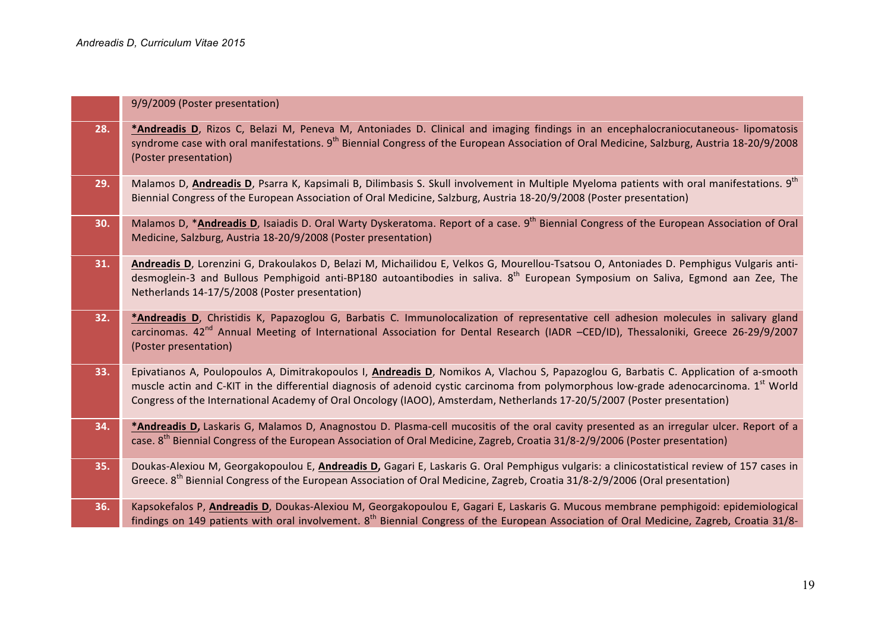|     | 9/9/2009 (Poster presentation)                                                                                                                                                                                                                                                                                                                                                                                          |
|-----|-------------------------------------------------------------------------------------------------------------------------------------------------------------------------------------------------------------------------------------------------------------------------------------------------------------------------------------------------------------------------------------------------------------------------|
| 28. | *Andreadis D, Rizos C, Belazi M, Peneva M, Antoniades D. Clinical and imaging findings in an encephalocraniocutaneous- lipomatosis<br>syndrome case with oral manifestations. 9 <sup>th</sup> Biennial Congress of the European Association of Oral Medicine, Salzburg, Austria 18-20/9/2008<br>(Poster presentation)                                                                                                   |
| 29. | Malamos D, Andreadis D, Psarra K, Kapsimali B, Dilimbasis S. Skull involvement in Multiple Myeloma patients with oral manifestations. 9 <sup>th</sup><br>Biennial Congress of the European Association of Oral Medicine, Salzburg, Austria 18-20/9/2008 (Poster presentation)                                                                                                                                           |
| 30. | Malamos D, * <b>Andreadis D</b> , Isaiadis D. Oral Warty Dyskeratoma. Report of a case. 9 <sup>th</sup> Biennial Congress of the European Association of Oral<br>Medicine, Salzburg, Austria 18-20/9/2008 (Poster presentation)                                                                                                                                                                                         |
| 31. | Andreadis D, Lorenzini G, Drakoulakos D, Belazi M, Michailidou E, Velkos G, Mourellou-Tsatsou O, Antoniades D. Pemphigus Vulgaris anti-<br>desmoglein-3 and Bullous Pemphigoid anti-BP180 autoantibodies in saliva. 8 <sup>th</sup> European Symposium on Saliva, Egmond aan Zee, The<br>Netherlands 14-17/5/2008 (Poster presentation)                                                                                 |
| 32. | *Andreadis D, Christidis K, Papazoglou G, Barbatis C. Immunolocalization of representative cell adhesion molecules in salivary gland<br>carcinomas. 42 <sup>nd</sup> Annual Meeting of International Association for Dental Research (IADR -CED/ID), Thessaloniki, Greece 26-29/9/2007<br>(Poster presentation)                                                                                                         |
| 33. | Epivatianos A, Poulopoulos A, Dimitrakopoulos I, Andreadis D, Nomikos A, Vlachou S, Papazoglou G, Barbatis C. Application of a-smooth<br>muscle actin and C-KIT in the differential diagnosis of adenoid cystic carcinoma from polymorphous low-grade adenocarcinoma. 1 <sup>st</sup> World<br>Congress of the International Academy of Oral Oncology (IAOO), Amsterdam, Netherlands 17-20/5/2007 (Poster presentation) |
| 34. | *Andreadis D, Laskaris G, Malamos D, Anagnostou D. Plasma-cell mucositis of the oral cavity presented as an irregular ulcer. Report of a<br>case. 8 <sup>th</sup> Biennial Congress of the European Association of Oral Medicine, Zagreb, Croatia 31/8-2/9/2006 (Poster presentation)                                                                                                                                   |
| 35. | Doukas-Alexiou M, Georgakopoulou E, Andreadis D, Gagari E, Laskaris G. Oral Pemphigus vulgaris: a clinicostatistical review of 157 cases in<br>Greece. 8 <sup>th</sup> Biennial Congress of the European Association of Oral Medicine, Zagreb, Croatia 31/8-2/9/2006 (Oral presentation)                                                                                                                                |
| 36. | Kapsokefalos P, Andreadis D, Doukas-Alexiou M, Georgakopoulou E, Gagari E, Laskaris G. Mucous membrane pemphigoid: epidemiological<br>findings on 149 patients with oral involvement. 8 <sup>th</sup> Biennial Congress of the European Association of Oral Medicine, Zagreb, Croatia 31/8-                                                                                                                             |